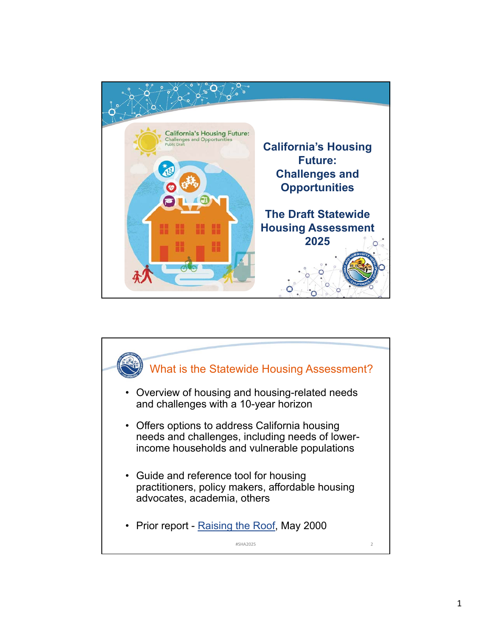

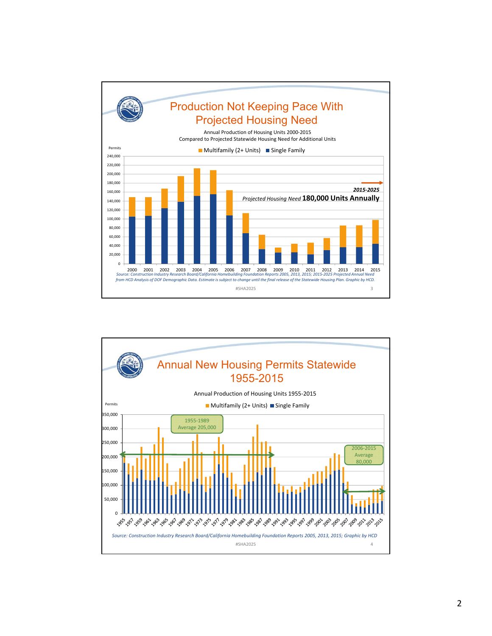

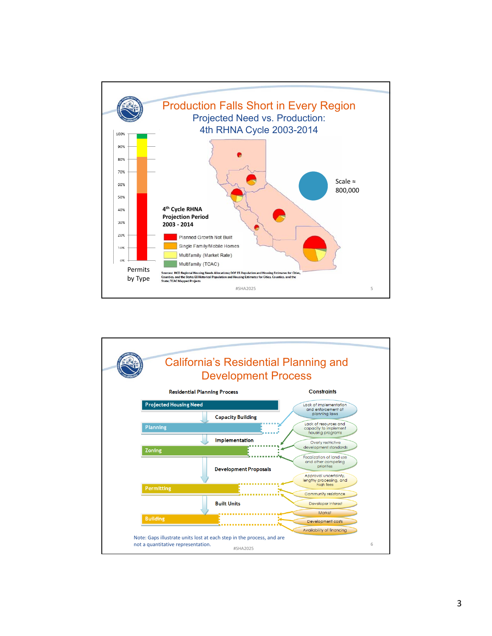

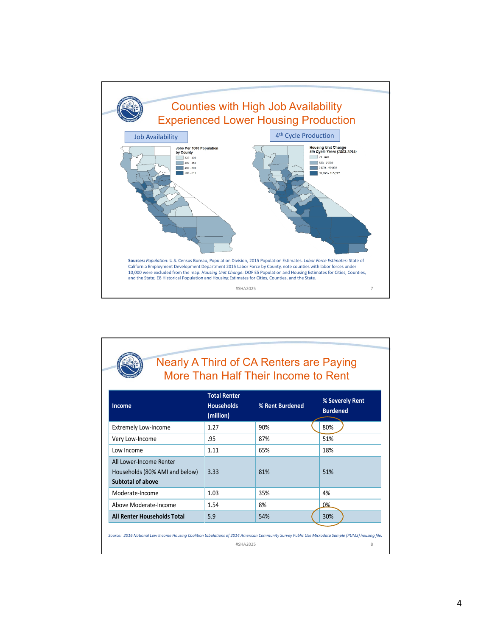

| More Than Half Their Income to Rent                                                   |                                                       |                 |                                    |  |  |  |
|---------------------------------------------------------------------------------------|-------------------------------------------------------|-----------------|------------------------------------|--|--|--|
| <b>Income</b>                                                                         | <b>Total Renter</b><br><b>Households</b><br>(million) | % Rent Burdened | % Severely Rent<br><b>Burdened</b> |  |  |  |
| <b>Extremely Low-Income</b>                                                           | 1.27                                                  | 90%             | 80%                                |  |  |  |
| Very Low-Income                                                                       | .95                                                   | 87%             | 51%                                |  |  |  |
| Low Income                                                                            | 1.11                                                  | 65%             | 18%                                |  |  |  |
| All Lower-Income Renter<br>Households (80% AMI and below)<br><b>Subtotal of above</b> | 3.33                                                  | 81%             | 51%                                |  |  |  |
| Moderate-Income                                                                       | 1.03                                                  | 35%             | 4%                                 |  |  |  |
| Above Moderate-Income                                                                 | 1.54                                                  | 8%              | በ%                                 |  |  |  |
| All Renter Households Total                                                           | 5.9                                                   | 54%             | 30%                                |  |  |  |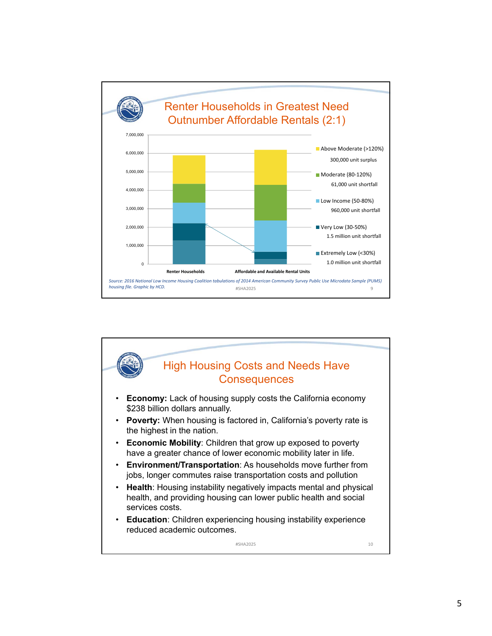